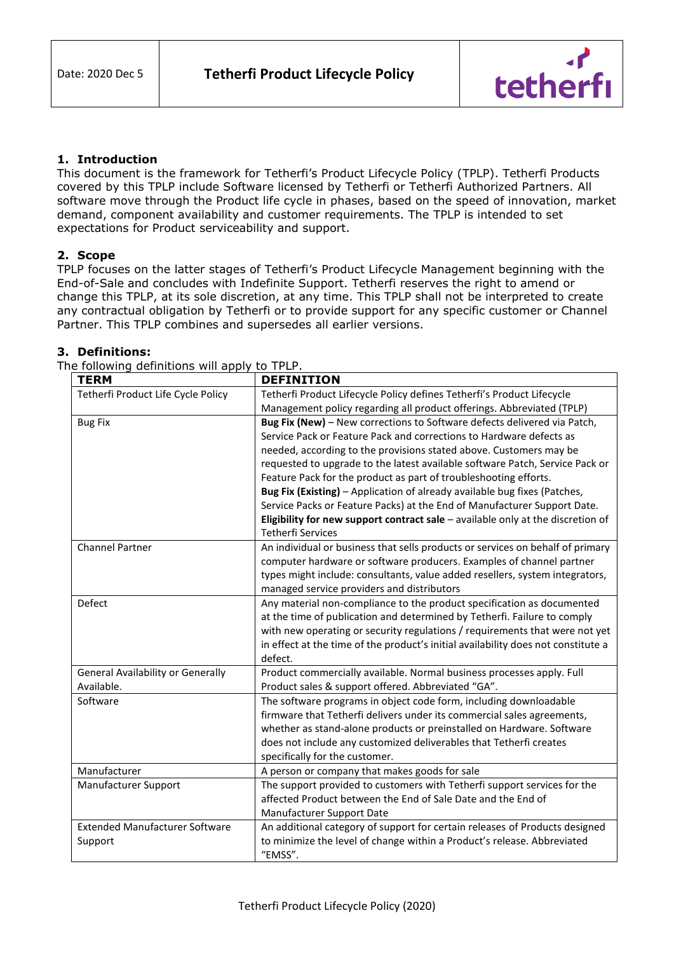

# **1. Introduction**

This document is the framework for Tetherfi's Product Lifecycle Policy (TPLP). Tetherfi Products covered by this TPLP include Software licensed by Tetherfi or Tetherfi Authorized Partners. All software move through the Product life cycle in phases, based on the speed of innovation, market demand, component availability and customer requirements. The TPLP is intended to set expectations for Product serviceability and support.

# **2. Scope**

TPLP focuses on the latter stages of Tetherfi's Product Lifecycle Management beginning with the End-of-Sale and concludes with Indefinite Support. Tetherfi reserves the right to amend or change this TPLP, at its sole discretion, at any time. This TPLP shall not be interpreted to create any contractual obligation by Tetherfi or to provide support for any specific customer or Channel Partner. This TPLP combines and supersedes all earlier versions.

## **3. Definitions:**

| <b>TERM</b>                              | <b>DEFINITION</b>                                                                 |
|------------------------------------------|-----------------------------------------------------------------------------------|
| Tetherfi Product Life Cycle Policy       | Tetherfi Product Lifecycle Policy defines Tetherfi's Product Lifecycle            |
|                                          | Management policy regarding all product offerings. Abbreviated (TPLP)             |
| <b>Bug Fix</b>                           | Bug Fix (New) - New corrections to Software defects delivered via Patch,          |
|                                          | Service Pack or Feature Pack and corrections to Hardware defects as               |
|                                          | needed, according to the provisions stated above. Customers may be                |
|                                          | requested to upgrade to the latest available software Patch, Service Pack or      |
|                                          | Feature Pack for the product as part of troubleshooting efforts.                  |
|                                          | Bug Fix (Existing) - Application of already available bug fixes (Patches,         |
|                                          | Service Packs or Feature Packs) at the End of Manufacturer Support Date.          |
|                                          | Eligibility for new support contract sale $-$ available only at the discretion of |
|                                          | <b>Tetherfi Services</b>                                                          |
| <b>Channel Partner</b>                   | An individual or business that sells products or services on behalf of primary    |
|                                          | computer hardware or software producers. Examples of channel partner              |
|                                          | types might include: consultants, value added resellers, system integrators,      |
|                                          | managed service providers and distributors                                        |
| Defect                                   | Any material non-compliance to the product specification as documented            |
|                                          | at the time of publication and determined by Tetherfi. Failure to comply          |
|                                          | with new operating or security regulations / requirements that were not yet       |
|                                          | in effect at the time of the product's initial availability does not constitute a |
|                                          | defect.                                                                           |
| <b>General Availability or Generally</b> | Product commercially available. Normal business processes apply. Full             |
| Available.                               | Product sales & support offered. Abbreviated "GA".                                |
| Software                                 | The software programs in object code form, including downloadable                 |
|                                          | firmware that Tetherfi delivers under its commercial sales agreements,            |
|                                          | whether as stand-alone products or preinstalled on Hardware. Software             |
|                                          | does not include any customized deliverables that Tetherfi creates                |
|                                          | specifically for the customer.                                                    |
| Manufacturer                             | A person or company that makes goods for sale                                     |
| Manufacturer Support                     | The support provided to customers with Tetherfi support services for the          |
|                                          | affected Product between the End of Sale Date and the End of                      |
|                                          | Manufacturer Support Date                                                         |
| <b>Extended Manufacturer Software</b>    | An additional category of support for certain releases of Products designed       |
| Support                                  | to minimize the level of change within a Product's release. Abbreviated           |
|                                          | "EMSS".                                                                           |

The following definitions will apply to TPLP.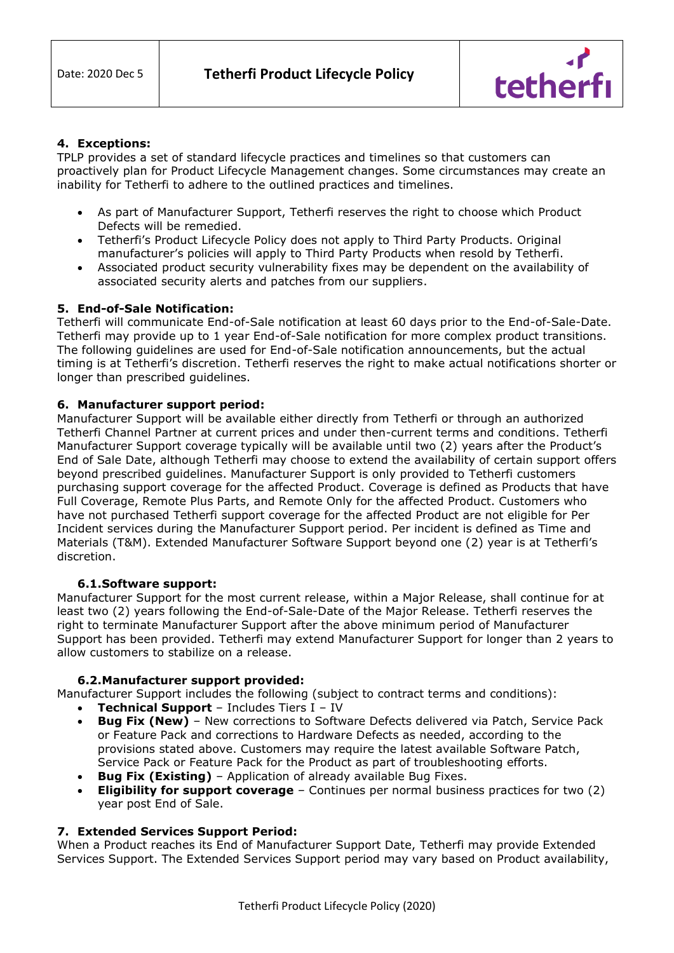

## **4. Exceptions:**

TPLP provides a set of standard lifecycle practices and timelines so that customers can proactively plan for Product Lifecycle Management changes. Some circumstances may create an inability for Tetherfi to adhere to the outlined practices and timelines.

- As part of Manufacturer Support, Tetherfi reserves the right to choose which Product Defects will be remedied.
- Tetherfi's Product Lifecycle Policy does not apply to Third Party Products. Original manufacturer's policies will apply to Third Party Products when resold by Tetherfi.
- Associated product security vulnerability fixes may be dependent on the availability of associated security alerts and patches from our suppliers.

## **5. End-of-Sale Notification:**

Tetherfi will communicate End-of-Sale notification at least 60 days prior to the End-of-Sale-Date. Tetherfi may provide up to 1 year End-of-Sale notification for more complex product transitions. The following guidelines are used for End-of-Sale notification announcements, but the actual timing is at Tetherfi's discretion. Tetherfi reserves the right to make actual notifications shorter or longer than prescribed guidelines.

## **6. Manufacturer support period:**

Manufacturer Support will be available either directly from Tetherfi or through an authorized Tetherfi Channel Partner at current prices and under then-current terms and conditions. Tetherfi Manufacturer Support coverage typically will be available until two (2) years after the Product's End of Sale Date, although Tetherfi may choose to extend the availability of certain support offers beyond prescribed guidelines. Manufacturer Support is only provided to Tetherfi customers purchasing support coverage for the affected Product. Coverage is defined as Products that have Full Coverage, Remote Plus Parts, and Remote Only for the affected Product. Customers who have not purchased Tetherfi support coverage for the affected Product are not eligible for Per Incident services during the Manufacturer Support period. Per incident is defined as Time and Materials (T&M). Extended Manufacturer Software Support beyond one (2) year is at Tetherfi's discretion.

### **6.1.Software support:**

Manufacturer Support for the most current release, within a Major Release, shall continue for at least two (2) years following the End-of-Sale-Date of the Major Release. Tetherfi reserves the right to terminate Manufacturer Support after the above minimum period of Manufacturer Support has been provided. Tetherfi may extend Manufacturer Support for longer than 2 years to allow customers to stabilize on a release.

### **6.2.Manufacturer support provided:**

Manufacturer Support includes the following (subject to contract terms and conditions):

- **Technical Support**  Includes Tiers I IV
- **Bug Fix (New)** New corrections to Software Defects delivered via Patch, Service Pack or Feature Pack and corrections to Hardware Defects as needed, according to the provisions stated above. Customers may require the latest available Software Patch, Service Pack or Feature Pack for the Product as part of troubleshooting efforts.
- **Bug Fix (Existing)** Application of already available Bug Fixes.
- **Eligibility for support coverage** Continues per normal business practices for two (2) year post End of Sale.

### **7. Extended Services Support Period:**

When a Product reaches its End of Manufacturer Support Date, Tetherfi may provide Extended Services Support. The Extended Services Support period may vary based on Product availability,